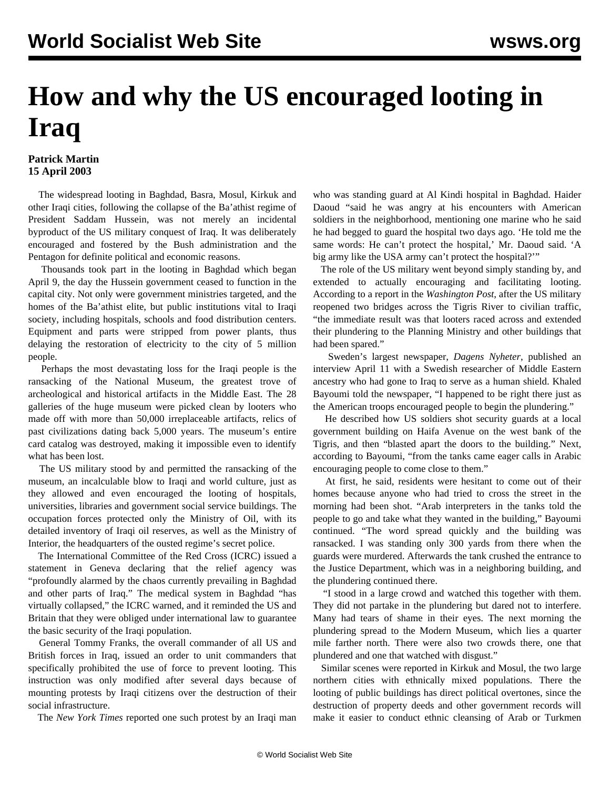## **How and why the US encouraged looting in Iraq**

## **Patrick Martin 15 April 2003**

 The widespread looting in Baghdad, Basra, Mosul, Kirkuk and other Iraqi cities, following the collapse of the Ba'athist regime of President Saddam Hussein, was not merely an incidental byproduct of the US military conquest of Iraq. It was deliberately encouraged and fostered by the Bush administration and the Pentagon for definite political and economic reasons.

 Thousands took part in the looting in Baghdad which began April 9, the day the Hussein government ceased to function in the capital city. Not only were government ministries targeted, and the homes of the Ba'athist elite, but public institutions vital to Iraqi society, including hospitals, schools and food distribution centers. Equipment and parts were stripped from power plants, thus delaying the restoration of electricity to the city of 5 million people.

 Perhaps the most devastating loss for the Iraqi people is the ransacking of the National Museum, the greatest trove of archeological and historical artifacts in the Middle East. The 28 galleries of the huge museum were picked clean by looters who made off with more than 50,000 irreplaceable artifacts, relics of past civilizations dating back 5,000 years. The museum's entire card catalog was destroyed, making it impossible even to identify what has been lost.

 The US military stood by and permitted the ransacking of the museum, an incalculable blow to Iraqi and world culture, just as they allowed and even encouraged the looting of hospitals, universities, libraries and government social service buildings. The occupation forces protected only the Ministry of Oil, with its detailed inventory of Iraqi oil reserves, as well as the Ministry of Interior, the headquarters of the ousted regime's secret police.

 The International Committee of the Red Cross (ICRC) issued a statement in Geneva declaring that the relief agency was "profoundly alarmed by the chaos currently prevailing in Baghdad and other parts of Iraq." The medical system in Baghdad "has virtually collapsed," the ICRC warned, and it reminded the US and Britain that they were obliged under international law to guarantee the basic security of the Iraqi population.

 General Tommy Franks, the overall commander of all US and British forces in Iraq, issued an order to unit commanders that specifically prohibited the use of force to prevent looting. This instruction was only modified after several days because of mounting protests by Iraqi citizens over the destruction of their social infrastructure.

The *New York Times* reported one such protest by an Iraqi man

who was standing guard at Al Kindi hospital in Baghdad. Haider Daoud "said he was angry at his encounters with American soldiers in the neighborhood, mentioning one marine who he said he had begged to guard the hospital two days ago. 'He told me the same words: He can't protect the hospital,' Mr. Daoud said. 'A big army like the USA army can't protect the hospital?'"

 The role of the US military went beyond simply standing by, and extended to actually encouraging and facilitating looting. According to a report in the *Washington Post*, after the US military reopened two bridges across the Tigris River to civilian traffic, "the immediate result was that looters raced across and extended their plundering to the Planning Ministry and other buildings that had been spared."

 Sweden's largest newspaper, *Dagens Nyheter*, published an interview April 11 with a Swedish researcher of Middle Eastern ancestry who had gone to Iraq to serve as a human shield. Khaled Bayoumi told the newspaper, "I happened to be right there just as the American troops encouraged people to begin the plundering."

 He described how US soldiers shot security guards at a local government building on Haifa Avenue on the west bank of the Tigris, and then "blasted apart the doors to the building." Next, according to Bayoumi, "from the tanks came eager calls in Arabic encouraging people to come close to them."

 At first, he said, residents were hesitant to come out of their homes because anyone who had tried to cross the street in the morning had been shot. "Arab interpreters in the tanks told the people to go and take what they wanted in the building," Bayoumi continued. "The word spread quickly and the building was ransacked. I was standing only 300 yards from there when the guards were murdered. Afterwards the tank crushed the entrance to the Justice Department, which was in a neighboring building, and the plundering continued there.

 "I stood in a large crowd and watched this together with them. They did not partake in the plundering but dared not to interfere. Many had tears of shame in their eyes. The next morning the plundering spread to the Modern Museum, which lies a quarter mile farther north. There were also two crowds there, one that plundered and one that watched with disgust."

 Similar scenes were reported in Kirkuk and Mosul, the two large northern cities with ethnically mixed populations. There the looting of public buildings has direct political overtones, since the destruction of property deeds and other government records will make it easier to conduct ethnic cleansing of Arab or Turkmen